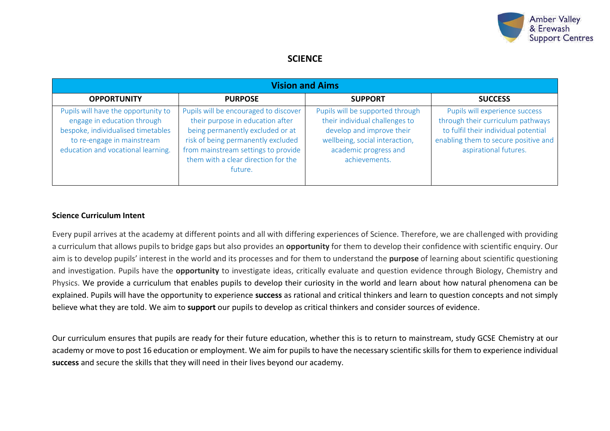

# **SCIENCE**

| <b>Vision and Aims</b>                                                                                                                                                       |                                                                                                                                                                                                                                              |                                                                                                                                                                             |                                                                                                                                                                              |  |  |  |  |
|------------------------------------------------------------------------------------------------------------------------------------------------------------------------------|----------------------------------------------------------------------------------------------------------------------------------------------------------------------------------------------------------------------------------------------|-----------------------------------------------------------------------------------------------------------------------------------------------------------------------------|------------------------------------------------------------------------------------------------------------------------------------------------------------------------------|--|--|--|--|
| <b>OPPORTUNITY</b>                                                                                                                                                           | <b>PURPOSE</b>                                                                                                                                                                                                                               | <b>SUPPORT</b>                                                                                                                                                              | <b>SUCCESS</b>                                                                                                                                                               |  |  |  |  |
| Pupils will have the opportunity to<br>engage in education through<br>bespoke, individualised timetables<br>to re-engage in mainstream<br>education and vocational learning. | Pupils will be encouraged to discover<br>their purpose in education after<br>being permanently excluded or at<br>risk of being permanently excluded<br>from mainstream settings to provide<br>them with a clear direction for the<br>future. | Pupils will be supported through<br>their individual challenges to<br>develop and improve their<br>wellbeing, social interaction,<br>academic progress and<br>achievements. | Pupils will experience success<br>through their curriculum pathways<br>to fulfil their individual potential<br>enabling them to secure positive and<br>aspirational futures. |  |  |  |  |

### **Science Curriculum Intent**

Every pupil arrives at the academy at different points and all with differing experiences of Science. Therefore, we are challenged with providing a curriculum that allows pupils to bridge gaps but also provides an **opportunity** for them to develop their confidence with scientific enquiry. Our aim is to develop pupils' interest in the world and its processes and for them to understand the **purpose** of learning about scientific questioning and investigation. Pupils have the **opportunity** to investigate ideas, critically evaluate and question evidence through Biology, Chemistry and Physics. We provide a curriculum that enables pupils to develop their curiosity in the world and learn about how natural phenomena can be explained. Pupils will have the opportunity to experience **success** as rational and critical thinkers and learn to question concepts and not simply believe what they are told. We aim to **support** our pupils to develop as critical thinkers and consider sources of evidence.

Our curriculum ensures that pupils are ready for their future education, whether this is to return to mainstream, study GCSE Chemistry at our academy or move to post 16 education or employment. We aim for pupils to have the necessary scientific skills for them to experience individual **success** and secure the skills that they will need in their lives beyond our academy.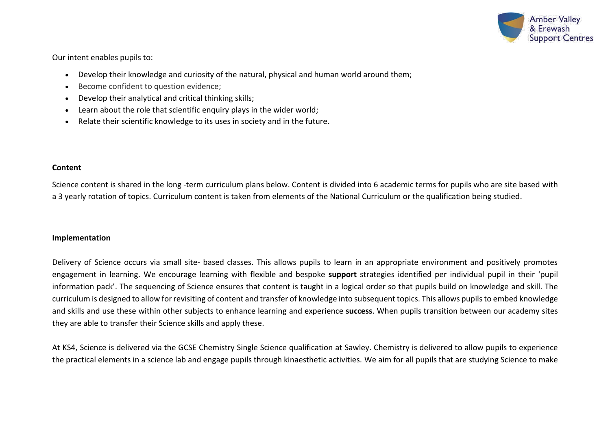

Our intent enables pupils to:

- Develop their knowledge and curiosity of the natural, physical and human world around them;
- Become confident to question evidence;
- Develop their analytical and critical thinking skills;
- Learn about the role that scientific enquiry plays in the wider world;
- Relate their scientific knowledge to its uses in society and in the future.

### **Content**

Science content is shared in the long -term curriculum plans below. Content is divided into 6 academic terms for pupils who are site based with a 3 yearly rotation of topics. Curriculum content is taken from elements of the National Curriculum or the qualification being studied.

### **Implementation**

Delivery of Science occurs via small site- based classes. This allows pupils to learn in an appropriate environment and positively promotes engagement in learning. We encourage learning with flexible and bespoke **support** strategies identified per individual pupil in their 'pupil information pack'. The sequencing of Science ensures that content is taught in a logical order so that pupils build on knowledge and skill. The curriculum is designed to allow for revisiting of content and transfer of knowledge into subsequent topics. This allows pupils to embed knowledge and skills and use these within other subjects to enhance learning and experience **success**. When pupils transition between our academy sites they are able to transfer their Science skills and apply these.

At KS4, Science is delivered via the GCSE Chemistry Single Science qualification at Sawley. Chemistry is delivered to allow pupils to experience the practical elements in a science lab and engage pupils through kinaesthetic activities. We aim for all pupils that are studying Science to make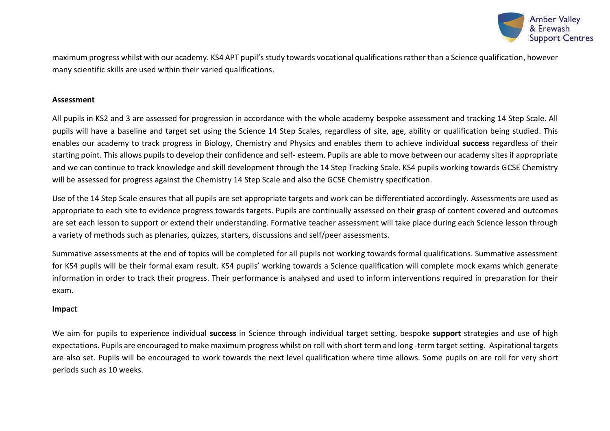

maximum progress whilst with our academy. KS4 APT pupil's study towards vocational qualifications rather than a Science qualification, however many scientific skills are used within their varied qualifications.

#### **Assessment**

All pupils in KS2 and 3 are assessed for progression in accordance with the whole academy bespoke assessment and tracking 14 Step Scale. All pupils will have a baseline and target set using the Science 14 Step Scales, regardless of site, age, ability or qualification being studied. This enables our academy to track progress in Biology, Chemistry and Physics and enables them to achieve individual **success** regardless of their starting point. This allows pupils to develop their confidence and self- esteem. Pupils are able to move between our academy sites if appropriate and we can continue to track knowledge and skill development through the 14 Step Tracking Scale. KS4 pupils working towards GCSE Chemistry will be assessed for progress against the Chemistry 14 Step Scale and also the GCSE Chemistry specification.

Use of the 14 Step Scale ensures that all pupils are set appropriate targets and work can be differentiated accordingly. Assessments are used as appropriate to each site to evidence progress towards targets. Pupils are continually assessed on their grasp of content covered and outcomes are set each lesson to support or extend their understanding. Formative teacher assessment will take place during each Science lesson through a variety of methods such as plenaries, quizzes, starters, discussions and self/peer assessments.

Summative assessments at the end of topics will be completed for all pupils not working towards formal qualifications. Summative assessment for KS4 pupils will be their formal exam result. KS4 pupils' working towards a Science qualification will complete mock exams which generate information in order to track their progress. Their performance is analysed and used to inform interventions required in preparation for their exam.

### **Impact**

We aim for pupils to experience individual **success** in Science through individual target setting, bespoke **support** strategies and use of high expectations. Pupils are encouraged to make maximum progress whilst on roll with short term and long -term target setting. Aspirational targets are also set. Pupils will be encouraged to work towards the next level qualification where time allows. Some pupils on are roll for very short periods such as 10 weeks.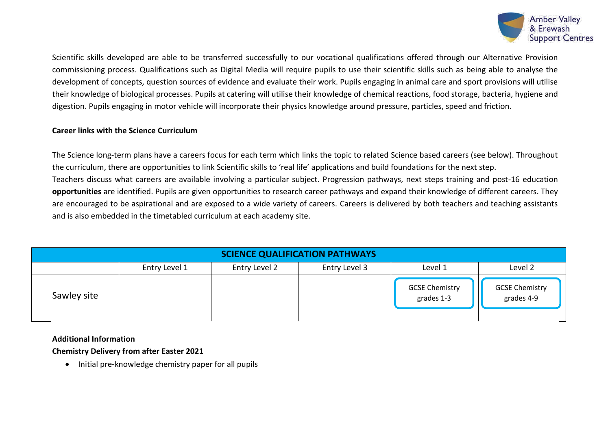

Scientific skills developed are able to be transferred successfully to our vocational qualifications offered through our Alternative Provision commissioning process. Qualifications such as Digital Media will require pupils to use their scientific skills such as being able to analyse the development of concepts, question sources of evidence and evaluate their work. Pupils engaging in animal care and sport provisions will utilise their knowledge of biological processes. Pupils at catering will utilise their knowledge of chemical reactions, food storage, bacteria, hygiene and digestion. Pupils engaging in motor vehicle will incorporate their physics knowledge around pressure, particles, speed and friction.

### **Career links with the Science Curriculum**

The Science long-term plans have a careers focus for each term which links the topic to related Science based careers (see below). Throughout the curriculum, there are opportunities to link Scientific skills to 'real life' applications and build foundations for the next step. Teachers discuss what careers are available involving a particular subject. Progression pathways, next steps training and post-16 education **opportunities** are identified. Pupils are given opportunities to research career pathways and expand their knowledge of different careers. They are encouraged to be aspirational and are exposed to a wide variety of careers. Careers is delivered by both teachers and teaching assistants and is also embedded in the timetabled curriculum at each academy site.

| <b>SCIENCE QUALIFICATION PATHWAYS</b> |               |               |               |                                     |                                     |  |
|---------------------------------------|---------------|---------------|---------------|-------------------------------------|-------------------------------------|--|
|                                       | Entry Level 1 | Entry Level 2 | Entry Level 3 | Level 1                             | Level 2                             |  |
| Sawley site                           |               |               |               | <b>GCSE Chemistry</b><br>grades 1-3 | <b>GCSE Chemistry</b><br>grades 4-9 |  |

### **Additional Information**

**Chemistry Delivery from after Easter 2021**

• Initial pre-knowledge chemistry paper for all pupils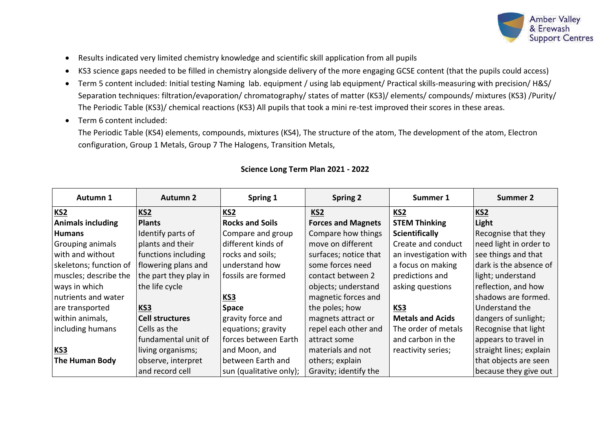

- Results indicated very limited chemistry knowledge and scientific skill application from all pupils
- KS3 science gaps needed to be filled in chemistry alongside delivery of the more engaging GCSE content (that the pupils could access)
- Term 5 content included: Initial testing Naming lab. equipment / using lab equipment/ Practical skills-measuring with precision/ H&S/ Separation techniques: filtration/evaporation/ chromatography/ states of matter (KS3)/ elements/ compounds/ mixtures (KS3) /Purity/ The Periodic Table (KS3)/ chemical reactions (KS3) All pupils that took a mini re-test improved their scores in these areas.
- Term 6 content included:

The Periodic Table (KS4) elements, compounds, mixtures (KS4), The structure of the atom, The development of the atom, Electron configuration, Group 1 Metals, Group 7 The Halogens, Transition Metals,

| Autumn 1                 | <b>Autumn 2</b>        | Spring 1                | <b>Spring 2</b>           | Summer 1                | <b>Summer 2</b>         |
|--------------------------|------------------------|-------------------------|---------------------------|-------------------------|-------------------------|
| KS <sub>2</sub>          | KS <sub>2</sub>        | KS <sub>2</sub>         | KS <sub>2</sub>           | KS2                     | KS <sub>2</sub>         |
| <b>Animals including</b> | <b>Plants</b>          | <b>Rocks and Soils</b>  | <b>Forces and Magnets</b> | <b>STEM Thinking</b>    | Light                   |
| <b>Humans</b>            | Identify parts of      | Compare and group       | Compare how things        | <b>Scientifically</b>   | Recognise that they     |
| Grouping animals         | plants and their       | different kinds of      | move on different         | Create and conduct      | need light in order to  |
| with and without         | functions including    | rocks and soils;        | surfaces; notice that     | an investigation with   | see things and that     |
| skeletons; function of   | flowering plans and    | understand how          | some forces need          | a focus on making       | dark is the absence of  |
| muscles; describe the    | the part they play in  | fossils are formed      | contact between 2         | predictions and         | light; understand       |
| ways in which            | the life cycle         |                         | objects; understand       | asking questions        | reflection, and how     |
| nutrients and water      |                        | <b>KS3</b>              | magnetic forces and       |                         | shadows are formed.     |
| are transported          | KS3                    | Space                   | the poles; how            | KS3                     | Understand the          |
| within animals,          | <b>Cell structures</b> | gravity force and       | magnets attract or        | <b>Metals and Acids</b> | dangers of sunlight;    |
| including humans         | Cells as the           | equations; gravity      | repel each other and      | The order of metals     | Recognise that light    |
|                          | fundamental unit of    | forces between Earth    | attract some              | and carbon in the       | appears to travel in    |
| KS3                      | living organisms;      | and Moon, and           | materials and not         | reactivity series;      | straight lines; explain |
| <b>The Human Body</b>    | observe, interpret     | between Earth and       | others; explain           |                         | that objects are seen   |
|                          | and record cell        | sun (qualitative only); | Gravity; identify the     |                         | because they give out   |

## **Science Long Term Plan 2021 - 2022**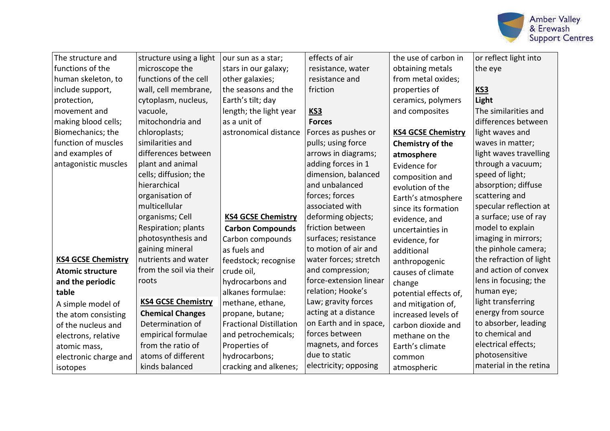

| The structure and         | structure using a light   | our sun as a star;             | effects of air         | the use of carbon in      | or reflect light into   |
|---------------------------|---------------------------|--------------------------------|------------------------|---------------------------|-------------------------|
| functions of the          | microscope the            | stars in our galaxy;           | resistance, water      | obtaining metals          | the eye                 |
| human skeleton, to        | functions of the cell     | other galaxies;                | resistance and         | from metal oxides;        |                         |
| include support,          | wall, cell membrane,      | the seasons and the            | friction               | properties of             | KS3                     |
| protection,               | cytoplasm, nucleus,       | Earth's tilt; day              |                        | ceramics, polymers        | Light                   |
| movement and              | vacuole,                  | length; the light year         | KS3                    | and composites            | The similarities and    |
| making blood cells;       | mitochondria and          | as a unit of                   | <b>Forces</b>          |                           | differences between     |
| Biomechanics; the         | chloroplasts;             | astronomical distance          | Forces as pushes or    | <b>KS4 GCSE Chemistry</b> | light waves and         |
| function of muscles       | similarities and          |                                | pulls; using force     | Chemistry of the          | waves in matter;        |
| and examples of           | differences between       |                                | arrows in diagrams;    | atmosphere                | light waves travelling  |
| antagonistic muscles      | plant and animal          |                                | adding forces in 1     | Evidence for              | through a vacuum;       |
|                           | cells; diffusion; the     |                                | dimension, balanced    | composition and           | speed of light;         |
|                           | hierarchical              |                                | and unbalanced         | evolution of the          | absorption; diffuse     |
|                           | organisation of           |                                | forces; forces         | Earth's atmosphere        | scattering and          |
|                           | multicellular             |                                | associated with        | since its formation       | specular reflection at  |
|                           | organisms; Cell           | <b>KS4 GCSE Chemistry</b>      | deforming objects;     | evidence, and             | a surface; use of ray   |
|                           | Respiration; plants       | <b>Carbon Compounds</b>        | friction between       | uncertainties in          | model to explain        |
|                           | photosynthesis and        | Carbon compounds               | surfaces; resistance   | evidence, for             | imaging in mirrors;     |
|                           | gaining mineral           | as fuels and                   | to motion of air and   | additional                | the pinhole camera;     |
| <b>KS4 GCSE Chemistry</b> | nutrients and water       | feedstock; recognise           | water forces; stretch  | anthropogenic             | the refraction of light |
| <b>Atomic structure</b>   | from the soil via their   | crude oil,                     | and compression;       | causes of climate         | and action of convex    |
| and the periodic          | roots                     | hydrocarbons and               | force-extension linear | change                    | lens in focusing; the   |
| table                     |                           | alkanes formulae:              | relation; Hooke's      | potential effects of,     | human eye;              |
| A simple model of         | <b>KS4 GCSE Chemistry</b> | methane, ethane,               | Law; gravity forces    | and mitigation of,        | light transferring      |
| the atom consisting       | <b>Chemical Changes</b>   | propane, butane;               | acting at a distance   | increased levels of       | energy from source      |
| of the nucleus and        | Determination of          | <b>Fractional Distillation</b> | on Earth and in space, | carbon dioxide and        | to absorber, leading    |
| electrons, relative       | empirical formulae        | and petrochemicals;            | forces between         | methane on the            | to chemical and         |
| atomic mass,              | from the ratio of         | Properties of                  | magnets, and forces    | Earth's climate           | electrical effects;     |
| electronic charge and     | atoms of different        | hydrocarbons;                  | due to static          | common                    | photosensitive          |
| isotopes                  | kinds balanced            | cracking and alkenes;          | electricity; opposing  | atmospheric               | material in the retina  |
|                           |                           |                                |                        |                           |                         |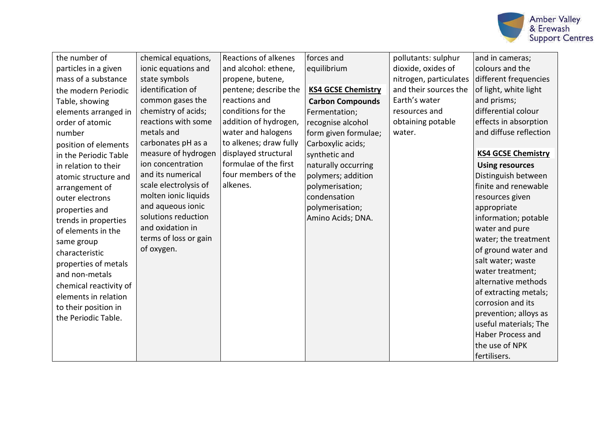

| the number of          | chemical equations,   | <b>Reactions of alkenes</b> | forces and                | pollutants: sulphur    | and in cameras;           |
|------------------------|-----------------------|-----------------------------|---------------------------|------------------------|---------------------------|
| particles in a given   | ionic equations and   | and alcohol: ethene,        | equilibrium               | dioxide, oxides of     | colours and the           |
| mass of a substance    | state symbols         | propene, butene,            |                           | nitrogen, particulates | different frequencies     |
| the modern Periodic    | identification of     | pentene; describe the       | <b>KS4 GCSE Chemistry</b> | and their sources the  | of light, white light     |
| Table, showing         | common gases the      | reactions and               | <b>Carbon Compounds</b>   | Earth's water          | and prisms;               |
| elements arranged in   | chemistry of acids;   | conditions for the          | Fermentation;             | resources and          | differential colour       |
| order of atomic        | reactions with some   | addition of hydrogen,       | recognise alcohol         | obtaining potable      | effects in absorption     |
| number                 | metals and            | water and halogens          | form given formulae;      | water.                 | and diffuse reflection    |
| position of elements   | carbonates pH as a    | to alkenes; draw fully      | Carboxylic acids;         |                        |                           |
| in the Periodic Table  | measure of hydrogen   | displayed structural        | synthetic and             |                        | <b>KS4 GCSE Chemistry</b> |
| in relation to their   | ion concentration     | formulae of the first       | naturally occurring       |                        | <b>Using resources</b>    |
| atomic structure and   | and its numerical     | four members of the         | polymers; addition        |                        | Distinguish between       |
| arrangement of         | scale electrolysis of | alkenes.                    | polymerisation;           |                        | finite and renewable      |
| outer electrons        | molten ionic liquids  |                             | condensation              |                        | resources given           |
| properties and         | and aqueous ionic     |                             | polymerisation;           |                        | appropriate               |
| trends in properties   | solutions reduction   |                             | Amino Acids; DNA.         |                        | information; potable      |
| of elements in the     | and oxidation in      |                             |                           |                        | water and pure            |
| same group             | terms of loss or gain |                             |                           |                        | water; the treatment      |
| characteristic         | of oxygen.            |                             |                           |                        | of ground water and       |
| properties of metals   |                       |                             |                           |                        | salt water; waste         |
| and non-metals         |                       |                             |                           |                        | water treatment;          |
| chemical reactivity of |                       |                             |                           |                        | alternative methods       |
| elements in relation   |                       |                             |                           |                        | of extracting metals;     |
| to their position in   |                       |                             |                           |                        | corrosion and its         |
| the Periodic Table.    |                       |                             |                           |                        | prevention; alloys as     |
|                        |                       |                             |                           |                        | useful materials; The     |
|                        |                       |                             |                           |                        | <b>Haber Process and</b>  |
|                        |                       |                             |                           |                        | the use of NPK            |
|                        |                       |                             |                           |                        | fertilisers.              |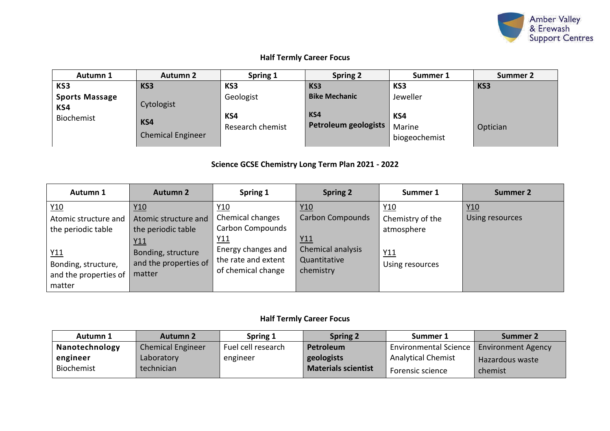

## **Half Termly Career Focus**

| Autumn 1                     | <b>Autumn 2</b>                 | Spring 1                | <b>Spring 2</b>                    | Summer 1                       | Summer 2 |
|------------------------------|---------------------------------|-------------------------|------------------------------------|--------------------------------|----------|
| KS3                          | KS3                             | KS3                     | KS3                                | KS3                            | KS3      |
| <b>Sports Massage</b><br>KS4 | Cytologist                      | Geologist               | <b>Bike Mechanic</b>               | Jeweller                       |          |
| Biochemist                   | KS4<br><b>Chemical Engineer</b> | KS4<br>Research chemist | KS4<br><b>Petroleum geologists</b> | KS4<br>Marine<br>biogeochemist | Optician |

## **Science GCSE Chemistry Long Term Plan 2021 - 2022**

| Autumn 1                                                      | <b>Autumn 2</b>                                                 | Spring 1                                                        | <b>Spring 2</b>                                | Summer 1                              | Summer 2               |
|---------------------------------------------------------------|-----------------------------------------------------------------|-----------------------------------------------------------------|------------------------------------------------|---------------------------------------|------------------------|
| Y10<br>Atomic structure and<br>the periodic table             | Y10<br>Atomic structure and<br>the periodic table<br><u>Y11</u> | Y10<br>Chemical changes<br>Carbon Compounds<br>Y11              | Y10<br>Carbon Compounds<br><u>Y11</u>          | Y10<br>Chemistry of the<br>atmosphere | Y10<br>Using resources |
| Y11<br>Bonding, structure,<br>and the properties of<br>matter | Bonding, structure<br>and the properties of<br>matter           | Energy changes and<br>the rate and extent<br>of chemical change | Chemical analysis<br>Quantitative<br>chemistry | Y11<br>Using resources                |                        |

## **Half Termly Career Focus**

| Autumn 1       | <b>Autumn 2</b>          | Spring 1           | <b>Spring 2</b>            | Summer 1                     | Summer 2                  |
|----------------|--------------------------|--------------------|----------------------------|------------------------------|---------------------------|
| Nanotechnology | <b>Chemical Engineer</b> | Fuel cell research | Petroleum                  | <b>Environmental Science</b> | <b>Environment Agency</b> |
| engineer       | Laboratory               | engineer           | geologists                 | <b>Analytical Chemist</b>    | <b>Hazardous waste</b>    |
| Biochemist     | technician               |                    | <b>Materials scientist</b> | Forensic science             | chemist                   |